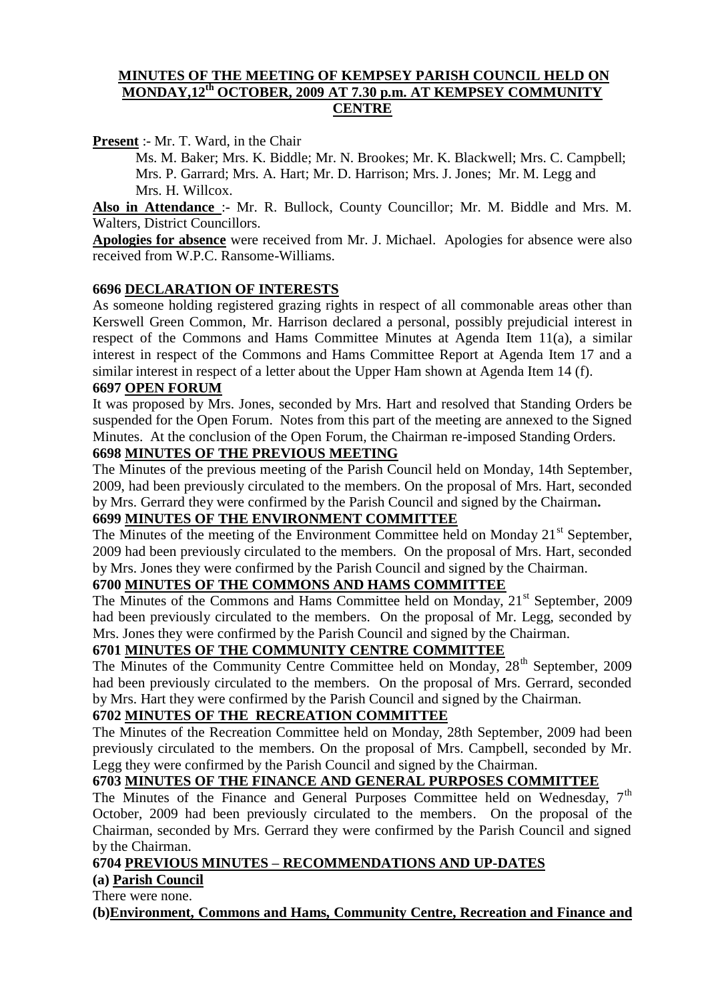#### **MINUTES OF THE MEETING OF KEMPSEY PARISH COUNCIL HELD ON MONDAY,12th OCTOBER, 2009 AT 7.30 p.m. AT KEMPSEY COMMUNITY CENTRE**

**Present** :- Mr. T. Ward, in the Chair

Ms. M. Baker; Mrs. K. Biddle; Mr. N. Brookes; Mr. K. Blackwell; Mrs. C. Campbell; Mrs. P. Garrard; Mrs. A. Hart; Mr. D. Harrison; Mrs. J. Jones; Mr. M. Legg and Mrs. H. Willcox.

**Also in Attendance** :- Mr. R. Bullock, County Councillor; Mr. M. Biddle and Mrs. M. Walters, District Councillors.

**Apologies for absence** were received from Mr. J. Michael. Apologies for absence were also received from W.P.C. Ransome-Williams.

#### **6696 DECLARATION OF INTERESTS**

As someone holding registered grazing rights in respect of all commonable areas other than Kerswell Green Common, Mr. Harrison declared a personal, possibly prejudicial interest in respect of the Commons and Hams Committee Minutes at Agenda Item 11(a), a similar interest in respect of the Commons and Hams Committee Report at Agenda Item 17 and a similar interest in respect of a letter about the Upper Ham shown at Agenda Item 14 (f).

#### **6697 OPEN FORUM**

It was proposed by Mrs. Jones, seconded by Mrs. Hart and resolved that Standing Orders be suspended for the Open Forum. Notes from this part of the meeting are annexed to the Signed Minutes. At the conclusion of the Open Forum, the Chairman re-imposed Standing Orders.

### **6698 MINUTES OF THE PREVIOUS MEETING**

The Minutes of the previous meeting of the Parish Council held on Monday, 14th September, 2009, had been previously circulated to the members. On the proposal of Mrs. Hart, seconded by Mrs. Gerrard they were confirmed by the Parish Council and signed by the Chairman**.**

#### **6699 MINUTES OF THE ENVIRONMENT COMMITTEE**

The Minutes of the meeting of the Environment Committee held on Monday 21<sup>st</sup> September, 2009 had been previously circulated to the members. On the proposal of Mrs. Hart, seconded by Mrs. Jones they were confirmed by the Parish Council and signed by the Chairman.

#### **6700 MINUTES OF THE COMMONS AND HAMS COMMITTEE**

The Minutes of the Commons and Hams Committee held on Monday, 21<sup>st</sup> September, 2009 had been previously circulated to the members. On the proposal of Mr. Legg, seconded by Mrs. Jones they were confirmed by the Parish Council and signed by the Chairman.

#### **6701 MINUTES OF THE COMMUNITY CENTRE COMMITTEE**

The Minutes of the Community Centre Committee held on Monday, 28<sup>th</sup> September, 2009 had been previously circulated to the members. On the proposal of Mrs. Gerrard, seconded by Mrs. Hart they were confirmed by the Parish Council and signed by the Chairman.

#### **6702 MINUTES OF THE RECREATION COMMITTEE**

The Minutes of the Recreation Committee held on Monday, 28th September, 2009 had been previously circulated to the members. On the proposal of Mrs. Campbell, seconded by Mr. Legg they were confirmed by the Parish Council and signed by the Chairman.

#### **6703 MINUTES OF THE FINANCE AND GENERAL PURPOSES COMMITTEE**

The Minutes of the Finance and General Purposes Committee held on Wednesday, 7<sup>th</sup> October, 2009 had been previously circulated to the members. On the proposal of the Chairman, seconded by Mrs. Gerrard they were confirmed by the Parish Council and signed by the Chairman.

#### **6704 PREVIOUS MINUTES – RECOMMENDATIONS AND UP-DATES**

# **(a) Parish Council**

There were none.

**(b)Environment, Commons and Hams, Community Centre, Recreation and Finance and**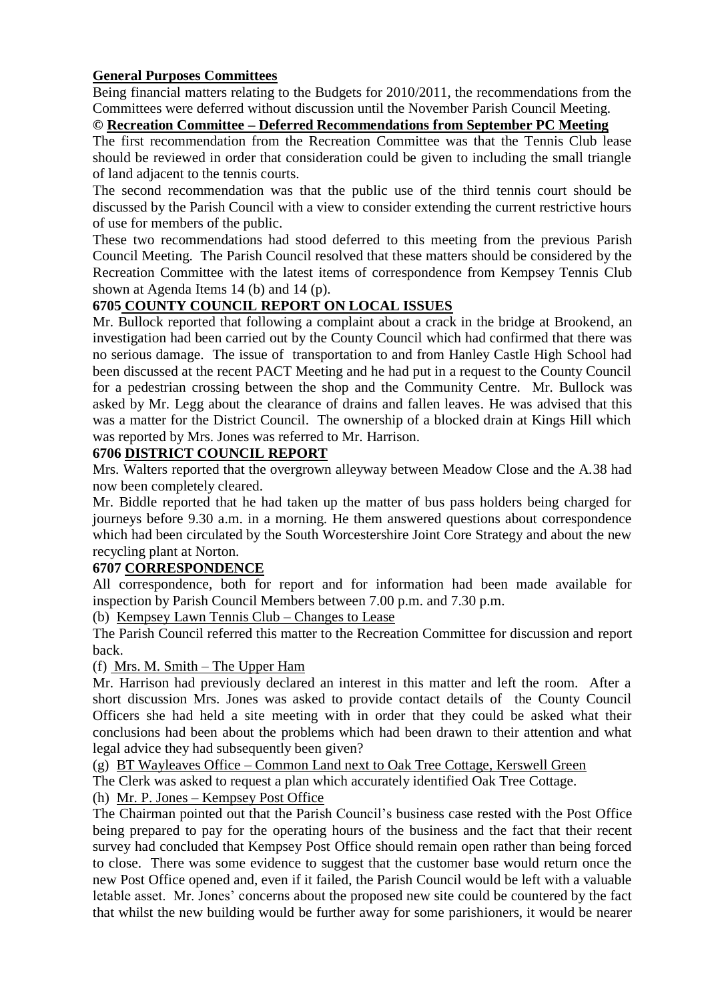### **General Purposes Committees**

Being financial matters relating to the Budgets for 2010/2011, the recommendations from the Committees were deferred without discussion until the November Parish Council Meeting.

### **© Recreation Committee – Deferred Recommendations from September PC Meeting**

The first recommendation from the Recreation Committee was that the Tennis Club lease should be reviewed in order that consideration could be given to including the small triangle of land adjacent to the tennis courts.

The second recommendation was that the public use of the third tennis court should be discussed by the Parish Council with a view to consider extending the current restrictive hours of use for members of the public.

These two recommendations had stood deferred to this meeting from the previous Parish Council Meeting. The Parish Council resolved that these matters should be considered by the Recreation Committee with the latest items of correspondence from Kempsey Tennis Club shown at Agenda Items 14 (b) and 14 (p).

# **6705 COUNTY COUNCIL REPORT ON LOCAL ISSUES**

Mr. Bullock reported that following a complaint about a crack in the bridge at Brookend, an investigation had been carried out by the County Council which had confirmed that there was no serious damage. The issue of transportation to and from Hanley Castle High School had been discussed at the recent PACT Meeting and he had put in a request to the County Council for a pedestrian crossing between the shop and the Community Centre. Mr. Bullock was asked by Mr. Legg about the clearance of drains and fallen leaves. He was advised that this was a matter for the District Council. The ownership of a blocked drain at Kings Hill which was reported by Mrs. Jones was referred to Mr. Harrison.

#### **6706 DISTRICT COUNCIL REPORT**

Mrs. Walters reported that the overgrown alleyway between Meadow Close and the A.38 had now been completely cleared.

Mr. Biddle reported that he had taken up the matter of bus pass holders being charged for journeys before 9.30 a.m. in a morning. He them answered questions about correspondence which had been circulated by the South Worcestershire Joint Core Strategy and about the new recycling plant at Norton.

# **6707 CORRESPONDENCE**

All correspondence, both for report and for information had been made available for inspection by Parish Council Members between 7.00 p.m. and 7.30 p.m.

(b) Kempsey Lawn Tennis Club – Changes to Lease

The Parish Council referred this matter to the Recreation Committee for discussion and report back.

#### (f) Mrs. M. Smith – The Upper Ham

Mr. Harrison had previously declared an interest in this matter and left the room. After a short discussion Mrs. Jones was asked to provide contact details of the County Council Officers she had held a site meeting with in order that they could be asked what their conclusions had been about the problems which had been drawn to their attention and what legal advice they had subsequently been given?

(g) BT Wayleaves Office – Common Land next to Oak Tree Cottage, Kerswell Green

The Clerk was asked to request a plan which accurately identified Oak Tree Cottage.

(h) Mr. P. Jones – Kempsey Post Office

The Chairman pointed out that the Parish Council's business case rested with the Post Office being prepared to pay for the operating hours of the business and the fact that their recent survey had concluded that Kempsey Post Office should remain open rather than being forced to close. There was some evidence to suggest that the customer base would return once the new Post Office opened and, even if it failed, the Parish Council would be left with a valuable letable asset. Mr. Jones' concerns about the proposed new site could be countered by the fact that whilst the new building would be further away for some parishioners, it would be nearer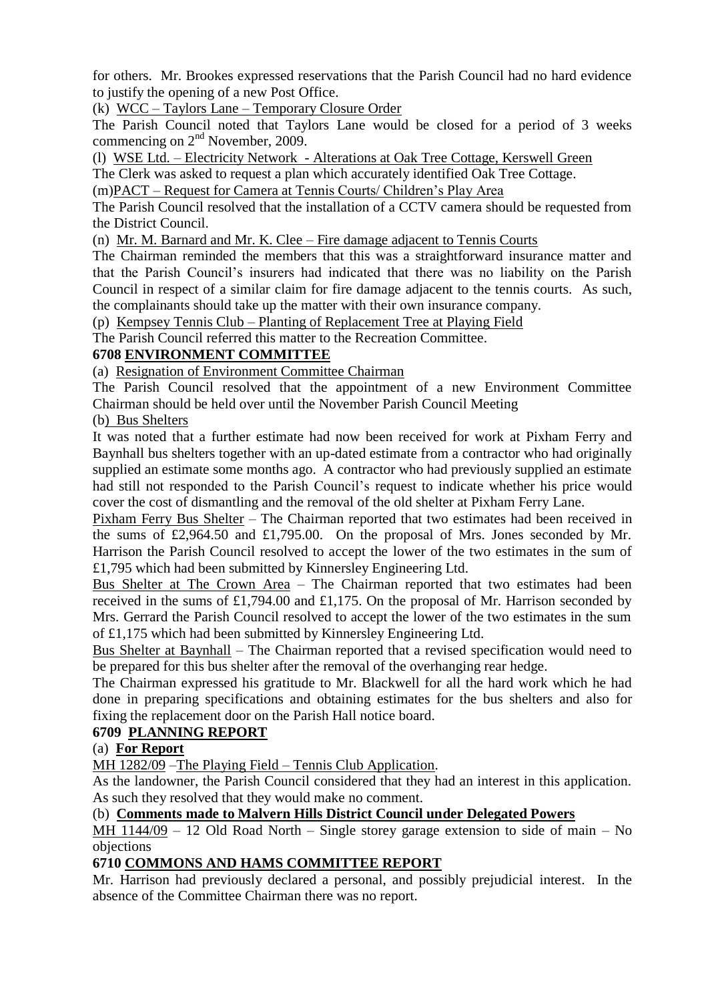for others. Mr. Brookes expressed reservations that the Parish Council had no hard evidence to justify the opening of a new Post Office.

(k) WCC – Taylors Lane – Temporary Closure Order

The Parish Council noted that Taylors Lane would be closed for a period of 3 weeks commencing on  $2<sup>nd</sup>$  November, 2009.

(l) WSE Ltd. – Electricity Network - Alterations at Oak Tree Cottage, Kerswell Green

The Clerk was asked to request a plan which accurately identified Oak Tree Cottage.

(m)PACT – Request for Camera at Tennis Courts/ Children's Play Area

The Parish Council resolved that the installation of a CCTV camera should be requested from the District Council.

(n) Mr. M. Barnard and Mr. K. Clee – Fire damage adjacent to Tennis Courts

The Chairman reminded the members that this was a straightforward insurance matter and that the Parish Council's insurers had indicated that there was no liability on the Parish Council in respect of a similar claim for fire damage adjacent to the tennis courts. As such, the complainants should take up the matter with their own insurance company.

(p) Kempsey Tennis Club – Planting of Replacement Tree at Playing Field

The Parish Council referred this matter to the Recreation Committee.

### **6708 ENVIRONMENT COMMITTEE**

(a) Resignation of Environment Committee Chairman

The Parish Council resolved that the appointment of a new Environment Committee Chairman should be held over until the November Parish Council Meeting

(b) Bus Shelters

It was noted that a further estimate had now been received for work at Pixham Ferry and Baynhall bus shelters together with an up-dated estimate from a contractor who had originally supplied an estimate some months ago. A contractor who had previously supplied an estimate had still not responded to the Parish Council's request to indicate whether his price would cover the cost of dismantling and the removal of the old shelter at Pixham Ferry Lane.

Pixham Ferry Bus Shelter – The Chairman reported that two estimates had been received in the sums of £2,964.50 and £1,795.00. On the proposal of Mrs. Jones seconded by Mr. Harrison the Parish Council resolved to accept the lower of the two estimates in the sum of £1,795 which had been submitted by Kinnersley Engineering Ltd.

Bus Shelter at The Crown Area – The Chairman reported that two estimates had been received in the sums of £1,794.00 and £1,175. On the proposal of Mr. Harrison seconded by Mrs. Gerrard the Parish Council resolved to accept the lower of the two estimates in the sum of £1,175 which had been submitted by Kinnersley Engineering Ltd.

Bus Shelter at Baynhall – The Chairman reported that a revised specification would need to be prepared for this bus shelter after the removal of the overhanging rear hedge.

The Chairman expressed his gratitude to Mr. Blackwell for all the hard work which he had done in preparing specifications and obtaining estimates for the bus shelters and also for fixing the replacement door on the Parish Hall notice board.

#### **6709 PLANNING REPORT**

# (a) **For Report**

MH 1282/09 –The Playing Field – Tennis Club Application.

As the landowner, the Parish Council considered that they had an interest in this application. As such they resolved that they would make no comment.

#### (b) **Comments made to Malvern Hills District Council under Delegated Powers**

MH 1144/09 – 12 Old Road North – Single storey garage extension to side of main – No objections

#### **6710 COMMONS AND HAMS COMMITTEE REPORT**

Mr. Harrison had previously declared a personal, and possibly prejudicial interest. In the absence of the Committee Chairman there was no report.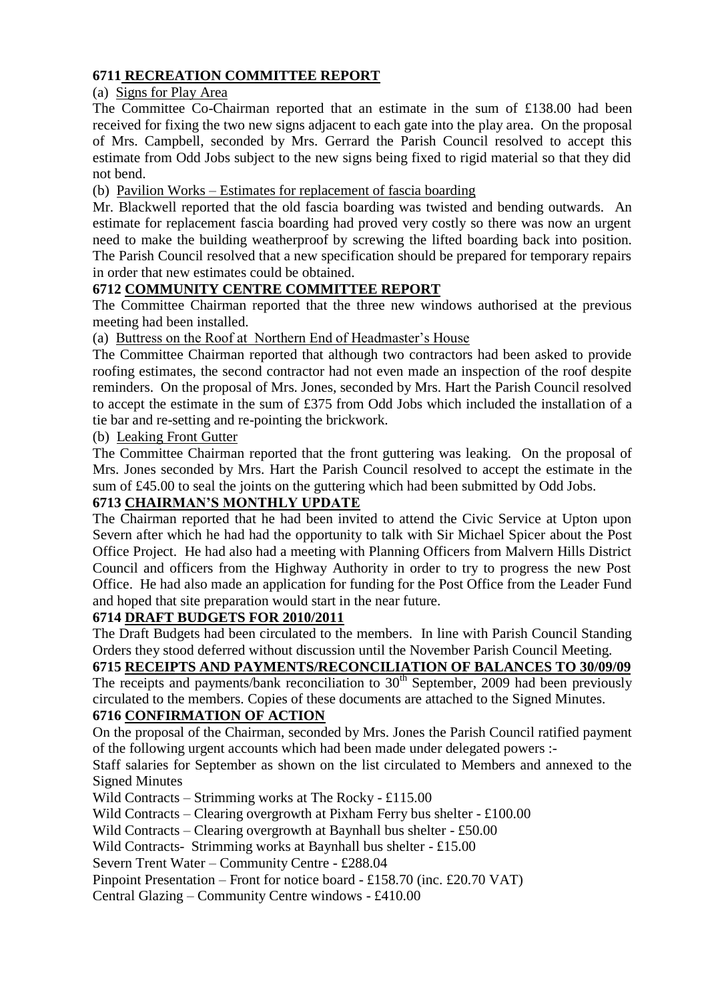### **6711 RECREATION COMMITTEE REPORT**

(a) Signs for Play Area

The Committee Co-Chairman reported that an estimate in the sum of £138.00 had been received for fixing the two new signs adjacent to each gate into the play area. On the proposal of Mrs. Campbell, seconded by Mrs. Gerrard the Parish Council resolved to accept this estimate from Odd Jobs subject to the new signs being fixed to rigid material so that they did not bend.

(b) Pavilion Works – Estimates for replacement of fascia boarding

Mr. Blackwell reported that the old fascia boarding was twisted and bending outwards. An estimate for replacement fascia boarding had proved very costly so there was now an urgent need to make the building weatherproof by screwing the lifted boarding back into position. The Parish Council resolved that a new specification should be prepared for temporary repairs in order that new estimates could be obtained.

### **6712 COMMUNITY CENTRE COMMITTEE REPORT**

The Committee Chairman reported that the three new windows authorised at the previous meeting had been installed.

(a) Buttress on the Roof at Northern End of Headmaster's House

The Committee Chairman reported that although two contractors had been asked to provide roofing estimates, the second contractor had not even made an inspection of the roof despite reminders. On the proposal of Mrs. Jones, seconded by Mrs. Hart the Parish Council resolved to accept the estimate in the sum of £375 from Odd Jobs which included the installation of a tie bar and re-setting and re-pointing the brickwork.

(b) Leaking Front Gutter

The Committee Chairman reported that the front guttering was leaking. On the proposal of Mrs. Jones seconded by Mrs. Hart the Parish Council resolved to accept the estimate in the sum of £45.00 to seal the joints on the guttering which had been submitted by Odd Jobs.

### **6713 CHAIRMAN'S MONTHLY UPDATE**

The Chairman reported that he had been invited to attend the Civic Service at Upton upon Severn after which he had had the opportunity to talk with Sir Michael Spicer about the Post Office Project. He had also had a meeting with Planning Officers from Malvern Hills District Council and officers from the Highway Authority in order to try to progress the new Post Office. He had also made an application for funding for the Post Office from the Leader Fund and hoped that site preparation would start in the near future.

#### **6714 DRAFT BUDGETS FOR 2010/2011**

The Draft Budgets had been circulated to the members. In line with Parish Council Standing Orders they stood deferred without discussion until the November Parish Council Meeting.

# **6715 RECEIPTS AND PAYMENTS/RECONCILIATION OF BALANCES TO 30/09/09**

The receipts and payments/bank reconciliation to  $30<sup>th</sup>$  September, 2009 had been previously circulated to the members. Copies of these documents are attached to the Signed Minutes.

# **6716 CONFIRMATION OF ACTION**

On the proposal of the Chairman, seconded by Mrs. Jones the Parish Council ratified payment of the following urgent accounts which had been made under delegated powers :-

Staff salaries for September as shown on the list circulated to Members and annexed to the Signed Minutes

Wild Contracts – Strimming works at The Rocky - £115.00

Wild Contracts – Clearing overgrowth at Pixham Ferry bus shelter - £100.00

Wild Contracts – Clearing overgrowth at Baynhall bus shelter - £50.00

Wild Contracts- Strimming works at Baynhall bus shelter - £15.00

Severn Trent Water – Community Centre - £288.04

Pinpoint Presentation – Front for notice board - £158.70 (inc. £20.70 VAT)

Central Glazing – Community Centre windows - £410.00